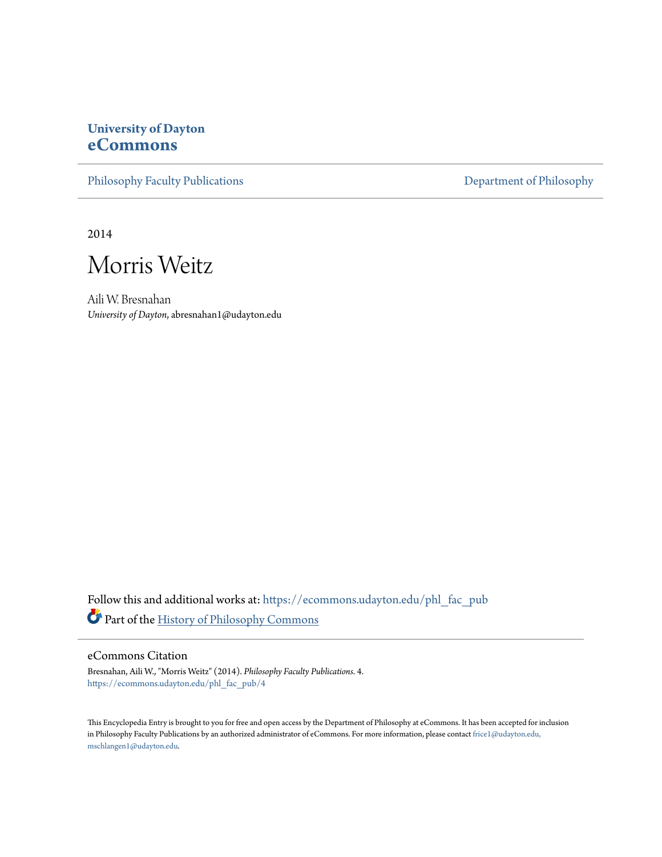# **University of Dayton [eCommons](https://ecommons.udayton.edu?utm_source=ecommons.udayton.edu%2Fphl_fac_pub%2F4&utm_medium=PDF&utm_campaign=PDFCoverPages)**

[Philosophy Faculty Publications](https://ecommons.udayton.edu/phl_fac_pub?utm_source=ecommons.udayton.edu%2Fphl_fac_pub%2F4&utm_medium=PDF&utm_campaign=PDFCoverPages) [Department of Philosophy](https://ecommons.udayton.edu/phl?utm_source=ecommons.udayton.edu%2Fphl_fac_pub%2F4&utm_medium=PDF&utm_campaign=PDFCoverPages)

2014



Aili W. Bresnahan *University of Dayton*, abresnahan1@udayton.edu

Follow this and additional works at: [https://ecommons.udayton.edu/phl\\_fac\\_pub](https://ecommons.udayton.edu/phl_fac_pub?utm_source=ecommons.udayton.edu%2Fphl_fac_pub%2F4&utm_medium=PDF&utm_campaign=PDFCoverPages) Part of the [History of Philosophy Commons](http://network.bepress.com/hgg/discipline/531?utm_source=ecommons.udayton.edu%2Fphl_fac_pub%2F4&utm_medium=PDF&utm_campaign=PDFCoverPages)

### eCommons Citation

Bresnahan, Aili W., "Morris Weitz" (2014). *Philosophy Faculty Publications*. 4. [https://ecommons.udayton.edu/phl\\_fac\\_pub/4](https://ecommons.udayton.edu/phl_fac_pub/4?utm_source=ecommons.udayton.edu%2Fphl_fac_pub%2F4&utm_medium=PDF&utm_campaign=PDFCoverPages)

This Encyclopedia Entry is brought to you for free and open access by the Department of Philosophy at eCommons. It has been accepted for inclusion in Philosophy Faculty Publications by an authorized administrator of eCommons. For more information, please contact [frice1@udayton.edu,](mailto:frice1@udayton.edu,%20mschlangen1@udayton.edu) [mschlangen1@udayton.edu.](mailto:frice1@udayton.edu,%20mschlangen1@udayton.edu)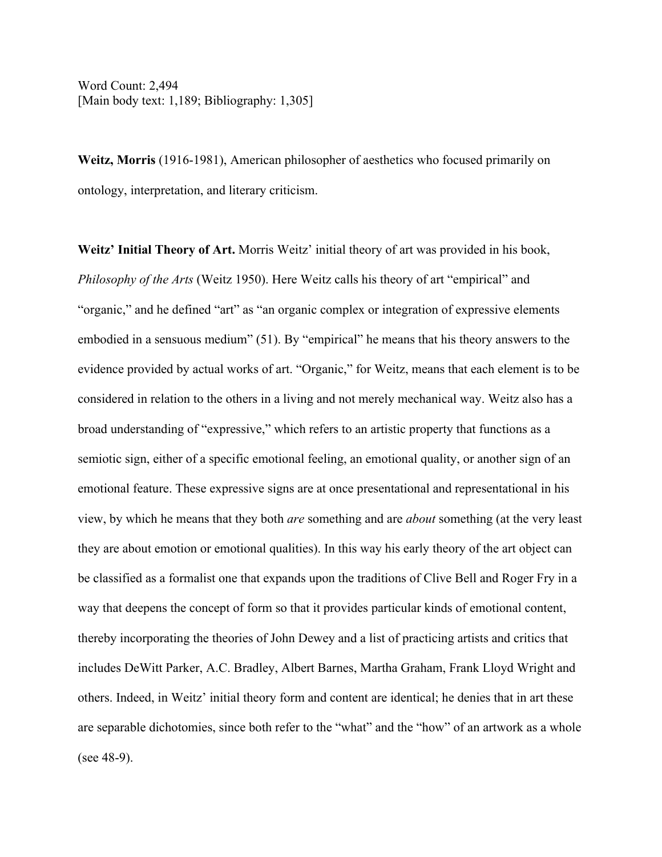Word Count: 2,494 [Main body text: 1,189; Bibliography: 1,305]

**Weitz, Morris** (1916-1981), American philosopher of aesthetics who focused primarily on ontology, interpretation, and literary criticism.

**Weitz' Initial Theory of Art.** Morris Weitz' initial theory of art was provided in his book, *Philosophy of the Arts* (Weitz 1950). Here Weitz calls his theory of art "empirical" and "organic," and he defined "art" as "an organic complex or integration of expressive elements embodied in a sensuous medium" (51). By "empirical" he means that his theory answers to the evidence provided by actual works of art. "Organic," for Weitz, means that each element is to be considered in relation to the others in a living and not merely mechanical way. Weitz also has a broad understanding of "expressive," which refers to an artistic property that functions as a semiotic sign, either of a specific emotional feeling, an emotional quality, or another sign of an emotional feature. These expressive signs are at once presentational and representational in his view, by which he means that they both *are* something and are *about* something (at the very least they are about emotion or emotional qualities). In this way his early theory of the art object can be classified as a formalist one that expands upon the traditions of Clive Bell and Roger Fry in a way that deepens the concept of form so that it provides particular kinds of emotional content, thereby incorporating the theories of John Dewey and a list of practicing artists and critics that includes DeWitt Parker, A.C. Bradley, Albert Barnes, Martha Graham, Frank Lloyd Wright and others. Indeed, in Weitz' initial theory form and content are identical; he denies that in art these are separable dichotomies, since both refer to the "what" and the "how" of an artwork as a whole (see 48-9).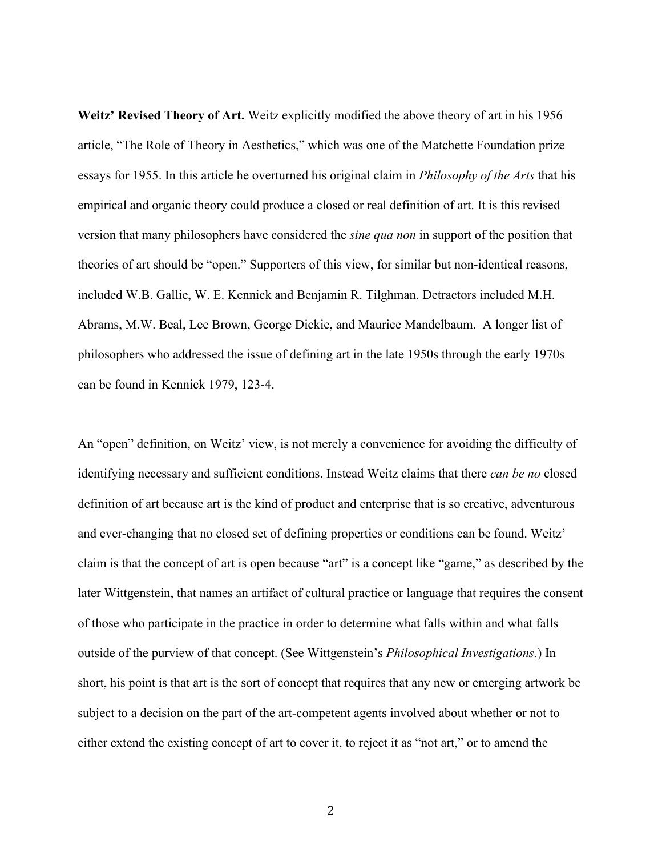**Weitz' Revised Theory of Art.** Weitz explicitly modified the above theory of art in his 1956 article, "The Role of Theory in Aesthetics," which was one of the Matchette Foundation prize essays for 1955. In this article he overturned his original claim in *Philosophy of the Arts* that his empirical and organic theory could produce a closed or real definition of art. It is this revised version that many philosophers have considered the *sine qua non* in support of the position that theories of art should be "open." Supporters of this view, for similar but non-identical reasons, included W.B. Gallie, W. E. Kennick and Benjamin R. Tilghman. Detractors included M.H. Abrams, M.W. Beal, Lee Brown, George Dickie, and Maurice Mandelbaum. A longer list of philosophers who addressed the issue of defining art in the late 1950s through the early 1970s can be found in Kennick 1979, 123-4.

An "open" definition, on Weitz' view, is not merely a convenience for avoiding the difficulty of identifying necessary and sufficient conditions. Instead Weitz claims that there *can be no* closed definition of art because art is the kind of product and enterprise that is so creative, adventurous and ever-changing that no closed set of defining properties or conditions can be found. Weitz' claim is that the concept of art is open because "art" is a concept like "game," as described by the later Wittgenstein, that names an artifact of cultural practice or language that requires the consent of those who participate in the practice in order to determine what falls within and what falls outside of the purview of that concept. (See Wittgenstein's *Philosophical Investigations.*) In short, his point is that art is the sort of concept that requires that any new or emerging artwork be subject to a decision on the part of the art-competent agents involved about whether or not to either extend the existing concept of art to cover it, to reject it as "not art," or to amend the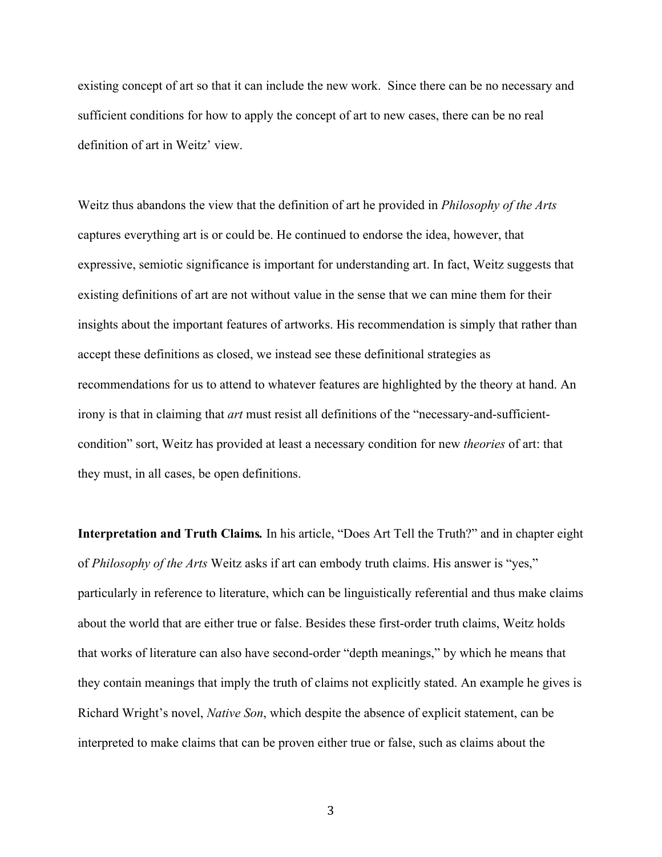existing concept of art so that it can include the new work. Since there can be no necessary and sufficient conditions for how to apply the concept of art to new cases, there can be no real definition of art in Weitz' view.

Weitz thus abandons the view that the definition of art he provided in *Philosophy of the Arts*  captures everything art is or could be. He continued to endorse the idea, however, that expressive, semiotic significance is important for understanding art. In fact, Weitz suggests that existing definitions of art are not without value in the sense that we can mine them for their insights about the important features of artworks. His recommendation is simply that rather than accept these definitions as closed, we instead see these definitional strategies as recommendations for us to attend to whatever features are highlighted by the theory at hand. An irony is that in claiming that *art* must resist all definitions of the "necessary-and-sufficientcondition" sort, Weitz has provided at least a necessary condition for new *theories* of art: that they must, in all cases, be open definitions.

**Interpretation and Truth Claims***.* In his article, "Does Art Tell the Truth?" and in chapter eight of *Philosophy of the Arts* Weitz asks if art can embody truth claims. His answer is "yes," particularly in reference to literature, which can be linguistically referential and thus make claims about the world that are either true or false. Besides these first-order truth claims, Weitz holds that works of literature can also have second-order "depth meanings," by which he means that they contain meanings that imply the truth of claims not explicitly stated. An example he gives is Richard Wright's novel, *Native Son*, which despite the absence of explicit statement, can be interpreted to make claims that can be proven either true or false, such as claims about the

3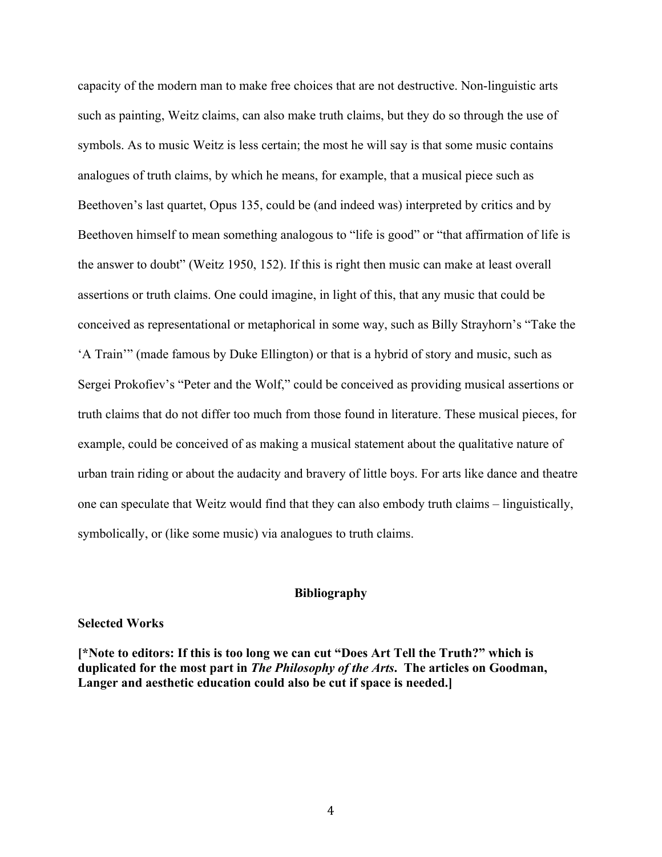capacity of the modern man to make free choices that are not destructive. Non-linguistic arts such as painting, Weitz claims, can also make truth claims, but they do so through the use of symbols. As to music Weitz is less certain; the most he will say is that some music contains analogues of truth claims, by which he means, for example, that a musical piece such as Beethoven's last quartet, Opus 135, could be (and indeed was) interpreted by critics and by Beethoven himself to mean something analogous to "life is good" or "that affirmation of life is the answer to doubt" (Weitz 1950, 152). If this is right then music can make at least overall assertions or truth claims. One could imagine, in light of this, that any music that could be conceived as representational or metaphorical in some way, such as Billy Strayhorn's "Take the 'A Train'" (made famous by Duke Ellington) or that is a hybrid of story and music, such as Sergei Prokofiev's "Peter and the Wolf," could be conceived as providing musical assertions or truth claims that do not differ too much from those found in literature. These musical pieces, for example, could be conceived of as making a musical statement about the qualitative nature of urban train riding or about the audacity and bravery of little boys. For arts like dance and theatre one can speculate that Weitz would find that they can also embody truth claims – linguistically, symbolically, or (like some music) via analogues to truth claims.

# **Bibliography**

#### **Selected Works**

**[\*Note to editors: If this is too long we can cut "Does Art Tell the Truth?" which is duplicated for the most part in** *The Philosophy of the Arts***. The articles on Goodman, Langer and aesthetic education could also be cut if space is needed.]**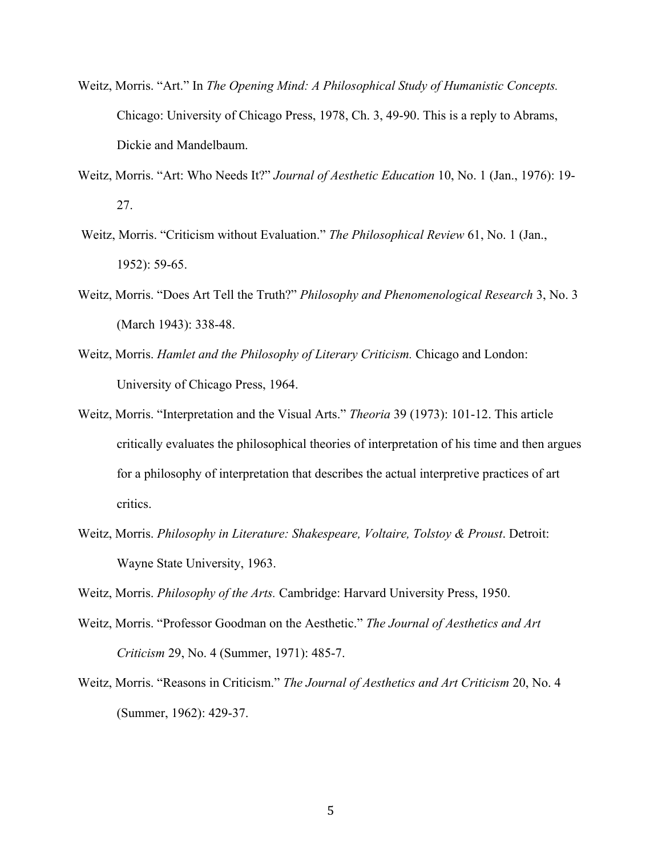- Weitz, Morris. "Art." In *The Opening Mind: A Philosophical Study of Humanistic Concepts.*  Chicago: University of Chicago Press, 1978, Ch. 3, 49-90. This is a reply to Abrams, Dickie and Mandelbaum.
- Weitz, Morris. "Art: Who Needs It?" *Journal of Aesthetic Education* 10, No. 1 (Jan., 1976): 19- 27.
- Weitz, Morris. "Criticism without Evaluation." *The Philosophical Review* 61, No. 1 (Jan., 1952): 59-65.
- Weitz, Morris. "Does Art Tell the Truth?" *Philosophy and Phenomenological Research* 3, No. 3 (March 1943): 338-48.
- Weitz, Morris. *Hamlet and the Philosophy of Literary Criticism.* Chicago and London: University of Chicago Press, 1964.
- Weitz, Morris. "Interpretation and the Visual Arts." *Theoria* 39 (1973): 101-12. This article critically evaluates the philosophical theories of interpretation of his time and then argues for a philosophy of interpretation that describes the actual interpretive practices of art critics.
- Weitz, Morris. *Philosophy in Literature: Shakespeare, Voltaire, Tolstoy & Proust*. Detroit: Wayne State University, 1963.

Weitz, Morris. *Philosophy of the Arts.* Cambridge: Harvard University Press, 1950.

- Weitz, Morris. "Professor Goodman on the Aesthetic." *The Journal of Aesthetics and Art Criticism* 29, No. 4 (Summer, 1971): 485-7.
- Weitz, Morris. "Reasons in Criticism." *The Journal of Aesthetics and Art Criticism* 20, No. 4 (Summer, 1962): 429-37.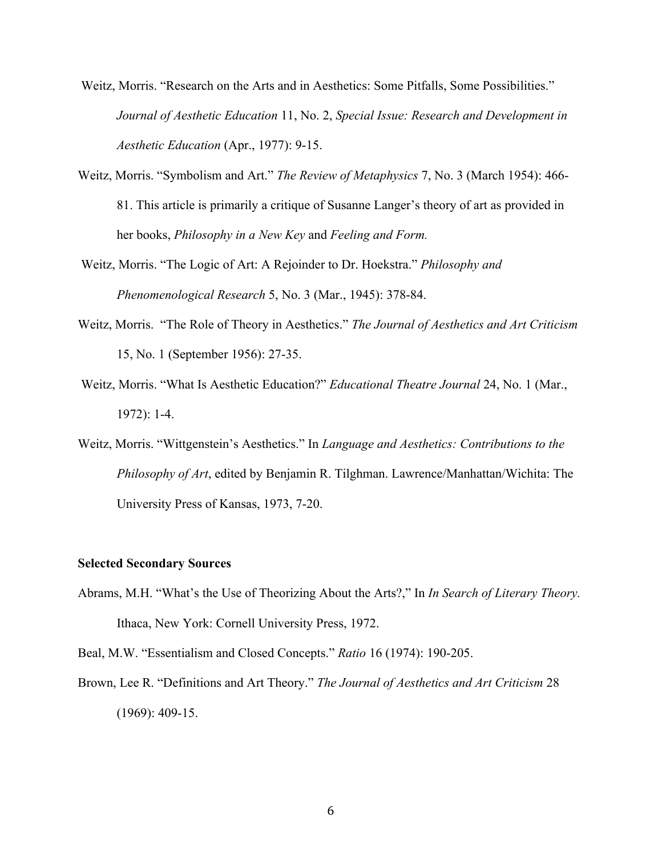- Weitz, Morris. "Research on the Arts and in Aesthetics: Some Pitfalls, Some Possibilities." *Journal of Aesthetic Education* 11, No. 2, *Special Issue: Research and Development in Aesthetic Education* (Apr., 1977): 9-15.
- Weitz, Morris. "Symbolism and Art." *The Review of Metaphysics* 7, No. 3 (March 1954): 466- 81. This article is primarily a critique of Susanne Langer's theory of art as provided in her books, *Philosophy in a New Key* and *Feeling and Form.*
- Weitz, Morris. "The Logic of Art: A Rejoinder to Dr. Hoekstra." *Philosophy and Phenomenological Research* 5, No. 3 (Mar., 1945): 378-84.
- Weitz, Morris. "The Role of Theory in Aesthetics." *The Journal of Aesthetics and Art Criticism* 15, No. 1 (September 1956): 27-35.
- Weitz, Morris. "What Is Aesthetic Education?" *Educational Theatre Journal* 24, No. 1 (Mar., 1972): 1-4.
- Weitz, Morris. "Wittgenstein's Aesthetics." In *Language and Aesthetics: Contributions to the Philosophy of Art*, edited by Benjamin R. Tilghman. Lawrence/Manhattan/Wichita: The University Press of Kansas, 1973, 7-20.

## **Selected Secondary Sources**

- Abrams, M.H. "What's the Use of Theorizing About the Arts?," In *In Search of Literary Theory.*  Ithaca, New York: Cornell University Press, 1972.
- Beal, M.W. "Essentialism and Closed Concepts." *Ratio* 16 (1974): 190-205.
- Brown, Lee R. "Definitions and Art Theory." *The Journal of Aesthetics and Art Criticism* 28 (1969): 409-15.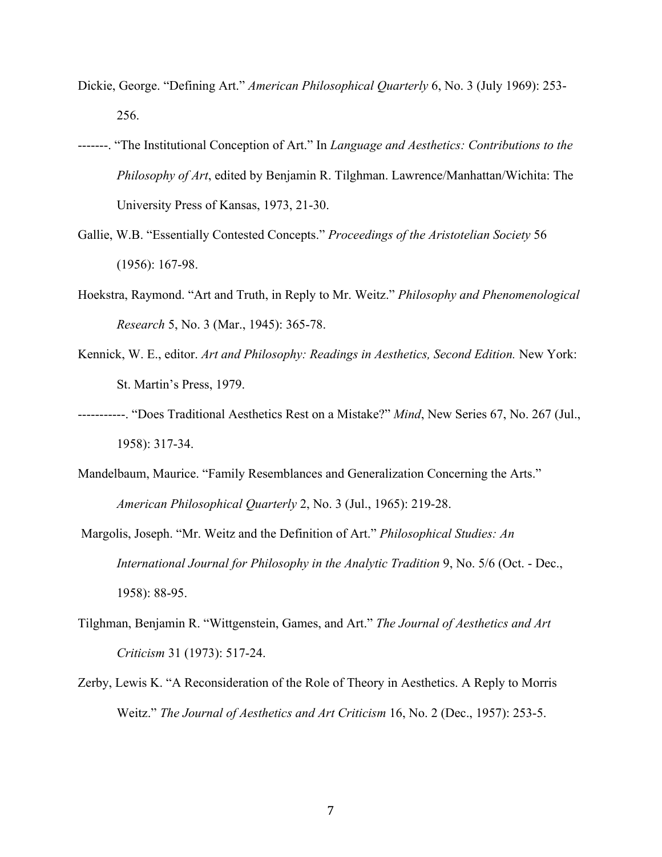- Dickie, George. "Defining Art." *American Philosophical Quarterly* 6, No. 3 (July 1969): 253- 256.
- -------. "The Institutional Conception of Art." In *Language and Aesthetics: Contributions to the Philosophy of Art*, edited by Benjamin R. Tilghman. Lawrence/Manhattan/Wichita: The University Press of Kansas, 1973, 21-30.
- Gallie, W.B. "Essentially Contested Concepts." *Proceedings of the Aristotelian Society* 56 (1956): 167-98.
- Hoekstra, Raymond. "Art and Truth, in Reply to Mr. Weitz." *Philosophy and Phenomenological Research* 5, No. 3 (Mar., 1945): 365-78.
- Kennick, W. E., editor. *Art and Philosophy: Readings in Aesthetics, Second Edition.* New York: St. Martin's Press, 1979.
- -----------. "Does Traditional Aesthetics Rest on a Mistake?" *Mind*, New Series 67, No. 267 (Jul., 1958): 317-34.
- Mandelbaum, Maurice. "Family Resemblances and Generalization Concerning the Arts." *American Philosophical Quarterly* 2, No. 3 (Jul., 1965): 219-28.
- Margolis, Joseph. "Mr. Weitz and the Definition of Art." *Philosophical Studies: An International Journal for Philosophy in the Analytic Tradition* 9, No. 5/6 (Oct. - Dec., 1958): 88-95.
- Tilghman, Benjamin R. "Wittgenstein, Games, and Art." *The Journal of Aesthetics and Art Criticism* 31 (1973): 517-24.
- Zerby, Lewis K. "A Reconsideration of the Role of Theory in Aesthetics. A Reply to Morris Weitz." *The Journal of Aesthetics and Art Criticism* 16, No. 2 (Dec., 1957): 253-5.